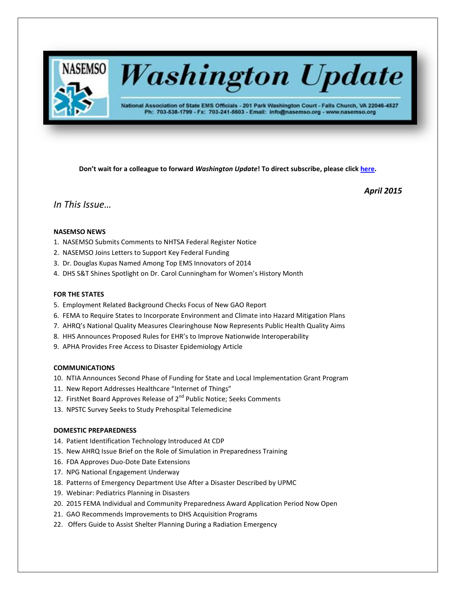

# **Washington Update**

National Association of State EMS Officials - 201 Park Washington Court - Falls Church, VA 22046-4527 Ph: 703-538-1799 - Fx: 703-241-5603 - Email: info@nasemso.org - www.nasemso.org

**Don't wait for a colleague to forward** *Washington Update***! To direct subscribe, please click [here.](http://lists.nasemso.org/read/all_forums/subscribe?name=wu%20)**

*April 2015*

# *In This Issue…*

# **NASEMSO NEWS**

- 1. NASEMSO Submits Comments to NHTSA Federal Register Notice
- 2. NASEMSO Joins Letters to Support Key Federal Funding
- 3. Dr. Douglas Kupas Named Among Top EMS Innovators of 2014
- 4. DHS S&T Shines Spotlight on Dr. Carol Cunningham for Women's History Month

# **FOR THE STATES**

- 5. Employment Related Background Checks Focus of New GAO Report
- 6. FEMA to Require States to Incorporate Environment and Climate into Hazard Mitigation Plans
- 7. AHRQ's National Quality Measures Clearinghouse Now Represents Public Health Quality Aims
- 8. HHS Announces Proposed Rules for EHR's to Improve Nationwide Interoperability
- 9. APHA Provides Free Access to Disaster Epidemiology Article

# **COMMUNICATIONS**

- 10. NTIA Announces Second Phase of Funding for State and Local Implementation Grant Program
- 11. New Report Addresses Healthcare "Internet of Things"
- 12. FirstNet Board Approves Release of 2<sup>nd</sup> Public Notice; Seeks Comments
- 13. NPSTC Survey Seeks to Study Prehospital Telemedicine

# **DOMESTIC PREPAREDNESS**

- 14. Patient Identification Technology Introduced At CDP
- 15. New AHRQ Issue Brief on the Role of Simulation in Preparedness Training
- 16. FDA Approves Duo-Dote Date Extensions
- 17. NPG National Engagement Underway
- 18. Patterns of Emergency Department Use After a Disaster Described by UPMC
- 19. Webinar: Pediatrics Planning in Disasters
- 20. 2015 FEMA Individual and Community Preparedness Award Application Period Now Open
- 21. GAO Recommends Improvements to DHS Acquisition Programs
- 22. Offers Guide to Assist Shelter Planning During a Radiation Emergency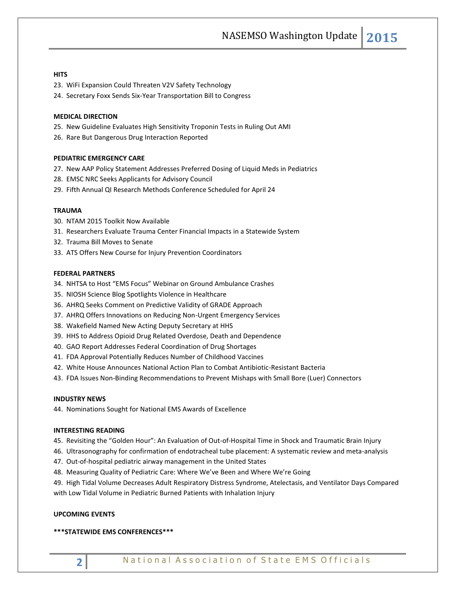# **HITS**

- 23. WiFi Expansion Could Threaten V2V Safety Technology
- 24. Secretary Foxx Sends Six-Year Transportation Bill to Congress

#### **MEDICAL DIRECTION**

- 25. New Guideline Evaluates High Sensitivity Troponin Tests in Ruling Out AMI
- 26. Rare But Dangerous Drug Interaction Reported

#### **PEDIATRIC EMERGENCY CARE**

- 27. New AAP Policy Statement Addresses Preferred Dosing of Liquid Meds in Pediatrics
- 28. EMSC NRC Seeks Applicants for Advisory Council
- 29. Fifth Annual QI Research Methods Conference Scheduled for April 24

#### **TRAUMA**

- 30. NTAM 2015 Toolkit Now Available
- 31. Researchers Evaluate Trauma Center Financial Impacts in a Statewide System
- 32. Trauma Bill Moves to Senate
- 33. ATS Offers New Course for Injury Prevention Coordinators

#### **FEDERAL PARTNERS**

- 34. NHTSA to Host "EMS Focus" Webinar on Ground Ambulance Crashes
- 35. NIOSH Science Blog Spotlights Violence in Healthcare
- 36. AHRQ Seeks Comment on Predictive Validity of GRADE Approach
- 37. AHRQ Offers Innovations on Reducing Non-Urgent Emergency Services
- 38. Wakefield Named New Acting Deputy Secretary at HHS
- 39. HHS to Address Opioid Drug Related Overdose, Death and Dependence
- 40. GAO Report Addresses Federal Coordination of Drug Shortages
- 41. FDA Approval Potentially Reduces Number of Childhood Vaccines
- 42. White House Announces National Action Plan to Combat Antibiotic-Resistant Bacteria
- 43. FDA Issues Non-Binding Recommendations to Prevent Mishaps with Small Bore (Luer) Connectors

#### **INDUSTRY NEWS**

44. Nominations Sought for National EMS Awards of Excellence

#### **INTERESTING READING**

- 45. Revisiting the "Golden Hour": An Evaluation of Out-of-Hospital Time in Shock and Traumatic Brain Injury
- 46. Ultrasonography for confirmation of endotracheal tube placement: A systematic review and meta-analysis
- 47. Out-of-hospital pediatric airway management in the United States
- 48. Measuring Quality of Pediatric Care: Where We've Been and Where We're Going
- 49. High Tidal Volume Decreases Adult Respiratory Distress Syndrome, Atelectasis, and Ventilator Days Compared with Low Tidal Volume in Pediatric Burned Patients with Inhalation Injury

#### **UPCOMING EVENTS**

#### **\*\*\*STATEWIDE EMS CONFERENCES\*\*\***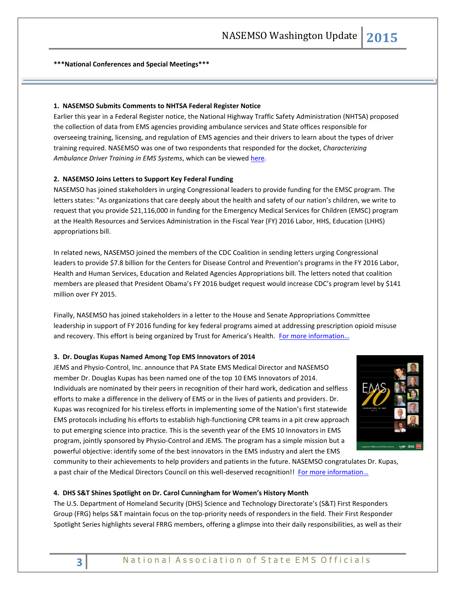**\*\*\*National Conferences and Special Meetings\*\*\***

# **1. NASEMSO Submits Comments to NHTSA Federal Register Notice**

Earlier this year in [a Federal Register notice,](https://www.federalregister.gov/articles/2015/01/21/2015-00807/reports-forms-and-record-keeping-requirements) the National Highway Traffic Safety Administration (NHTSA) proposed the collection of data from EMS agencies providing ambulance services and State offices responsible for overseeing training, licensing, and regulation of EMS agencies and their drivers to learn about the types of driver training required. NASEMSO was one of two respondents that responded for the docket, *Characterizing*  Ambulance Driver Training in EMS Systems, which can be viewe[d here.](http://www.regulations.gov/#!docketDetail;D=NHTSA-2014-0127)

# **2. NASEMSO Joins Letters to Support Key Federal Funding**

NASEMSO has joined stakeholders in urging Congressional leaders to provide funding for the EMSC program. The letters states: "As organizations that care deeply about the health and safety of our nation's children, we write to request that you provide \$21,116,000 in funding for the Emergency Medical Services for Children (EMSC) program at the Health Resources and Services Administration in the Fiscal Year (FY) 2016 Labor, HHS, Education (LHHS) appropriations bill.

In related news, NASEMSO joined the members of the CDC Coalition in sending letters urging Congressional leaders to provide \$7.8 billion for the Centers for Disease Control and Prevention's programs in the FY 2016 Labor, Health and Human Services, Education and Related Agencies Appropriations bill. The letters noted that coalition members are pleased that President Obama's FY 2016 budget request would increase CDC's program level by \$141 million over FY 2015.

Finally, NASEMSO has joined stakeholders in a letter to the House and Senate Appropriations Committee leadership in support of FY 2016 funding for key federal programs aimed at addressing prescription opioid misuse and recovery. This effort is being organized by Trust for America's Health. For more information...

#### **3. Dr. Douglas Kupas Named Among Top EMS Innovators of 2014**

JEMS and Physio-Control, Inc. announce that PA State EMS Medical Director and NASEMSO member Dr. Douglas Kupas has been named one of the top 10 EMS Innovators of 2014. Individuals are nominated by their peers in recognition of their hard work, dedication and selfless efforts to make a difference in the delivery of EMS or in the lives of patients and providers. Dr. Kupas was recognized for his tireless efforts in implementing some of the Nation's first statewide EMS protocols including his efforts to establish high-functioning CPR teams in a pit crew approach to put emerging science into practice. This is the seventh year of the EMS 10 Innovators in EMS program, jointly sponsored by Physio-Control and JEMS*.* The program has a simple mission but a powerful objective: identify some of the best innovators in the EMS industry and alert the EMS



community to their achievements to help providers and patients in the future. NASEMSO congratulates Dr. Kupas, a past chair of the Medical Directors Council on this well-deserved recognition!! [For more infor](http://www.jems.com/special/ems-10-innovators-ems-2014)mation…

#### **4. DHS S&T Shines Spotlight on Dr. Carol Cunningham for Women's History Month**

The U.S. Department of Homeland Security (DHS) Science and Technology Directorate's (S&T) First Responders Group (FRG) helps S&T maintain focus on the top-priority needs of responders in the field. Their First Responder Spotlight Series highlights several FRRG members, offering a glimpse into their daily responsibilities, as well as their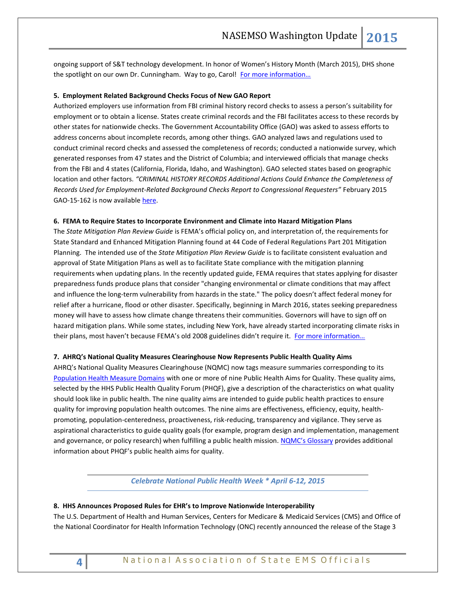ongoing support of S&T technology development. In honor of Women's History Month (March 2015), DHS shone the spotlight on our own Dr. Cunningham. Way to go, Carol! [For more information…](http://www.firstresponder.gov/Pages/Women%E2%80%99s-History-Month-First-Responder-Spotlight-of-Dr--Carol-A--Cunningham.aspx)

# **5. Employment Related Background Checks Focus of New GAO Report**

Authorized employers use information from FBI criminal history record checks to assess a person's suitability for employment or to obtain a license. States create criminal records and the FBI facilitates access to these records by other states for nationwide checks. The Government Accountability Office (GAO) was asked to assess efforts to address concerns about incomplete records, among other things. GAO analyzed laws and regulations used to conduct criminal record checks and assessed the completeness of records; conducted a nationwide survey, which generated responses from 47 states and the District of Columbia; and interviewed officials that manage checks from the FBI and 4 states (California, Florida, Idaho, and Washington). GAO selected states based on geographic location and other factors. *"CRIMINAL HISTORY RECORDS Additional Actions Could Enhance the Completeness of Records Used for Employment-Related Background Checks Report to Congressional Requesters"* February 2015 GAO-15-162 is now available [here.](http://www.gao.gov/assets/670/668505.pdf)

# **6. FEMA to Require States to Incorporate Environment and Climate into Hazard Mitigation Plans**

The *State Mitigation Plan Review Guide* is FEMA's official policy on, and interpretation of, the requirements for State Standard and Enhanced Mitigation Planning found at 44 Code of Federal Regulations Part 201 Mitigation Planning. The intended use of the *State Mitigation Plan Review Guide* is to facilitate consistent evaluation and approval of State Mitigation Plans as well as to facilitate State compliance with the mitigation planning requirements when updating plans. In the recently updated guide, FEMA requires that states applying for disaster preparedness funds produce plans that consider "changing environmental or climate conditions that may affect and influence the long-term vulnerability from hazards in the state." The policy doesn't affect federal money for relief after a hurricane, flood or other disaster. Specifically, beginning in March 2016, states seeking preparedness money will have to assess how climate change threatens their communities. Governors will have to sign off on hazard mitigation plans. While some states, including New York, have already started incorporating climate risks in their plans, most haven't because FEMA's old 2008 guidelines didn't require it. For more information...

# **7. AHRQ's National Quality Measures Clearinghouse Now Represents Public Health Quality Aims**

AHRQ's National Quality Measures Clearinghouse (NQMC) now tags measure summaries corresponding to its [Population Health Measure Domains](http://www.qualitymeasures.ahrq.gov/about/domain-framework.aspx) with one or more of nine Public Health Aims for Quality. These quality aims, selected by the HHS Public Health Quality Forum (PHQF), give a description of the characteristics on what quality should look like in public health. The nine quality aims are intended to guide public health practices to ensure quality for improving population health outcomes. The nine aims are effectiveness, efficiency, equity, healthpromoting, population-centeredness, proactiveness, risk-reducing, transparency and vigilance. They serve as aspirational characteristics to guide quality goals (for example, program design and implementation, management and governance, or policy research) when fulfilling a public health mission. [NQMC's Glossary](http://www.qualitymeasures.ahrq.gov/about/glossary.aspx#public) provides additional information about PHQF's public health aims for quality.

# *Celebrate National Public Health Week \* April 6-12, 2015*

# **8. HHS Announces Proposed Rules for EHR's to Improve Nationwide Interoperability**

The U.S. Department of Health and Human Services, Centers for Medicare & Medicaid Services (CMS) and Office of the National Coordinator for Health Information Technology (ONC) recently announced the release of the Stage 3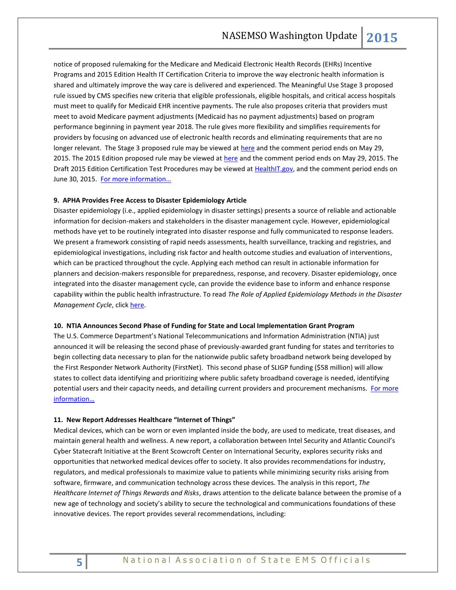notice of proposed rulemaking for the Medicare and Medicaid Electronic Health Records (EHRs) Incentive Programs and 2015 Edition Health IT Certification Criteria to improve the way electronic health information is shared and ultimately improve the way care is delivered and experienced. The Meaningful Use Stage 3 proposed rule issued by CMS specifies new criteria that eligible professionals, eligible hospitals, and critical access hospitals must meet to qualify for Medicaid EHR incentive payments. The rule also proposes criteria that providers must meet to avoid Medicare payment adjustments (Medicaid has no payment adjustments) based on program performance beginning in payment year 2018. The rule gives more flexibility and simplifies requirements for providers by focusing on advanced use of electronic health records and eliminating requirements that are no longer relevant. The Stage 3 proposed rule may be viewed at [here](https://www.federalregister.gov/articles/2015/03/30/2015-06685/medicare-and-medicaid-programs-electronic-health-record-incentive-program-stage-3) and the comment period ends on May 29, 2015. The 2015 Edition proposed rule may be viewed at [here](https://www.federalregister.gov/articles/2015/03/30/2015-06612/health-information-technology-certification-criteria-base-electronic-health-record-definition-and) and the comment period ends on May 29, 2015. The Draft 2015 Edition Certification Test Procedures may be viewed at [HealthIT.gov,](https://confluence.oncprojectracking.org/display/CERTTEST2015/ONC+Health+IT+Certification+Program+2015+Edition+Test+Methods+Home) and the comment period ends on June 30, 2015. For more information...

#### **9. APHA Provides Free Access to Disaster Epidemiology Article**

Disaster epidemiology (i.e., applied epidemiology in disaster settings) presents a source of reliable and actionable information for decision-makers and stakeholders in the disaster management cycle. However, epidemiological methods have yet to be routinely integrated into disaster response and fully communicated to response leaders. We present a framework consisting of rapid needs assessments, health surveillance, tracking and registries, and epidemiological investigations, including risk factor and health outcome studies and evaluation of interventions, which can be practiced throughout the cycle. Applying each method can result in actionable information for planners and decision-makers responsible for preparedness, response, and recovery. Disaster epidemiology, once integrated into the disaster management cycle, can provide the evidence base to inform and enhance response capability within the public health infrastructure. To read *The Role of Applied Epidemiology Methods in the Disaster Management Cycle*, click [here.](http://ajph.aphapublications.org/doi/pdf/10.2105/AJPH.2014.302010)

#### **10. NTIA Announces Second Phase of Funding for State and Local Implementation Grant Program**

The U.S. Commerce Department's National Telecommunications and Information Administration (NTIA) just announced it will be releasing the second phase of previously-awarded grant funding for states and territories to begin collecting data necessary to plan for the nationwide public safety broadband network being developed by the First Responder Network Authority (FirstNet). This second phase of SLIGP funding (\$58 million) will allow states to collect data identifying and prioritizing where public safety broadband coverage is needed, identifying potential users and their capacity needs, and detailing current providers and procurement mechanisms. For more [information…](http://www.ntia.doc.gov/press-release/2015/ntia-announces-second-phase-funding-state-and-local-implementation-grant-program)

#### **11. New Report Addresses Healthcare "Internet of Things"**

Medical devices, which can be worn or even implanted inside the body, are used to medicate, treat diseases, and maintain general health and wellness. A new report, a collaboration between Intel Security and Atlantic Council's Cyber Statecraft Initiative at the Brent Scowcroft Center on International Security, explores security risks and opportunities that networked medical devices offer to society. It also provides recommendations for industry, regulators, and medical professionals to maximize value to patients while minimizing security risks arising from software, firmware, and communication technology across these devices. The analysis in this report, *The Healthcare Internet of Things Rewards and Risks*, draws attention to the delicate balance between the promise of a new age of technology and society's ability to secure the technological and communications foundations of these innovative devices. The report provides several recommendations, including: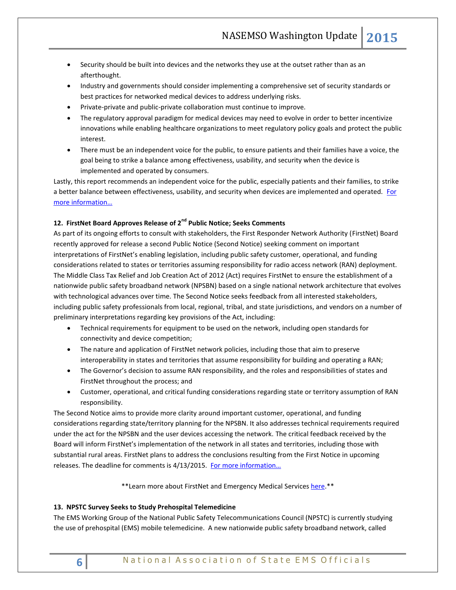- Security should be built into devices and the networks they use at the outset rather than as an afterthought.
- Industry and governments should consider implementing a comprehensive set of security standards or best practices for networked medical devices to address underlying risks.
- Private-private and public-private collaboration must continue to improve.
- The regulatory approval paradigm for medical devices may need to evolve in order to better incentivize innovations while enabling healthcare organizations to meet regulatory policy goals and protect the public interest.
- There must be an independent voice for the public, to ensure patients and their families have a voice, the goal being to strike a balance among effectiveness, usability, and security when the device is implemented and operated by consumers.

Lastly, this report recommends an independent voice for the public, especially patients and their families, to strike a better balance between effectiveness, usability, and security when devices are implemented and operated. [For](http://www.mcafee.com/us/resources/reports/rp-healthcare-iot-rewards-risks.pdf)  [more information…](http://www.mcafee.com/us/resources/reports/rp-healthcare-iot-rewards-risks.pdf)

# **12. FirstNet Board Approves Release of 2nd Public Notice; Seeks Comments**

As part of its ongoing efforts to consult with stakeholders, the First Responder Network Authority (FirstNet) Board recently approved for release a second Public Notice (Second Notice) seeking comment on important interpretations of FirstNet's enabling legislation, including public safety customer, operational, and funding considerations related to states or territories assuming responsibility for radio access network (RAN) deployment. The Middle Class Tax Relief and Job Creation Act of 2012 (Act) requires FirstNet to ensure the establishment of a nationwide public safety broadband network (NPSBN) based on a single national network architecture that evolves with technological advances over time. The Second Notice seeks feedback from all interested stakeholders, including public safety professionals from local, regional, tribal, and state jurisdictions, and vendors on a number of preliminary interpretations regarding key provisions of the Act, including:

- Technical requirements for equipment to be used on the network, including open standards for connectivity and device competition;
- The nature and application of FirstNet network policies, including those that aim to preserve interoperability in states and territories that assume responsibility for building and operating a RAN;
- The Governor's decision to assume RAN responsibility, and the roles and responsibilities of states and FirstNet throughout the process; and
- Customer, operational, and critical funding considerations regarding state or territory assumption of RAN responsibility.

The Second Notice aims to provide more clarity around important customer, operational, and funding considerations regarding state/territory planning for the NPSBN. It also addresses technical requirements required under the act for the NPSBN and the user devices accessing the network. The critical feedback received by the Board will inform FirstNet's implementation of the network in all states and territories, including those with substantial rural areas. FirstNet plans to address the conclusions resulting from the First Notice in upcoming releases. The deadline for comments is 4/13/2015. For more information...

\*\*Learn more about FirstNet and Emergency Medical Service[s here.\\*](http://www.firstnet.gov/sites/default/files/firstnet-ems-factsheet.pdf)\*

# **13. NPSTC Survey Seeks to Study Prehospital Telemedicine**

The EMS Working Group of the National Public Safety Telecommunications Council (NPSTC) is currently studying the use of prehospital (EMS) mobile telemedicine. A new nationwide public safety broadband network, called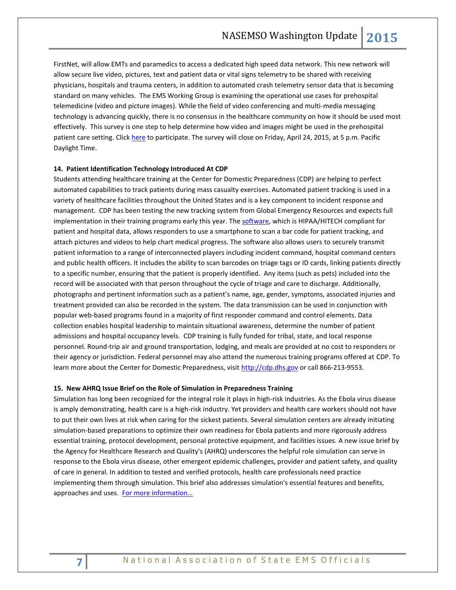FirstNet, will allow EMTs and paramedics to access a dedicated high speed data network. This new network will allow secure live video, pictures, text and patient data or vital signs telemetry to be shared with receiving physicians, hospitals and trauma centers, in addition to automated crash telemetry sensor data that is becoming standard on many vehicles. The EMS Working Group is examining the operational use cases for prehospital telemedicine (video and picture images). While the field of video conferencing and multi-media messaging technology is advancing quickly, there is no consensus in the healthcare community on how it should be used most effectively. This survey is one step to help determine how video and images might be used in the prehospital patient care setting. Click [here](http://survey.constantcontact.com/survey/a07eaqxapqdi7m52xm2/start) to participate. The survey will close on Friday, April 24, 2015, at 5 p.m. Pacific Daylight Time.

# **14. Patient Identification Technology Introduced At CDP**

Students attending healthcare training at the Center for Domestic Preparedness (CDP) are helping to perfect automated capabilities to track patients during mass casualty exercises. Automated patient tracking is used in a variety of healthcare facilities throughout the United States and is a key component to incident response and management. CDP has been testing the new tracking system from Global Emergency Resources and expects full implementation in their training programs early this year. The [software,](http://www.ger911.com/hc-suite/patient-tracking/) which is HIPAA/HITECH compliant for patient and hospital data, allows responders to use a smartphone to scan a bar code for patient tracking, and attach pictures and videos to help chart medical progress. The software also allows users to securely transmit patient information to a range of interconnected players including incident command, hospital command centers and public health officers. It includes the ability to scan barcodes on triage tags or ID cards, linking patients directly to a specific number, ensuring that the patient is properly identified. Any items (such as pets) included into the record will be associated with that person throughout the cycle of triage and care to discharge. Additionally, photographs and pertinent information such as a patient's name, age, gender, symptoms, associated injuries and treatment provided can also be recorded in the system. The data transmission can be used in conjunction with popular web-based programs found in a majority of first responder command and control elements. Data collection enables hospital leadership to maintain situational awareness, determine the number of patient admissions and hospital occupancy levels. CDP training is fully funded for tribal, state, and local response personnel. Round-trip air and ground transportation, lodging, and meals are provided at no cost to responders or their agency or jurisdiction. Federal personnel may also attend the numerous training programs offered at CDP. To learn more about the Center for Domestic Preparedness, visit [http://cdp.dhs.gov](http://cdp.dhs.gov/) or call 866-213-9553.

#### **15. New AHRQ Issue Brief on the Role of Simulation in Preparedness Training**

Simulation has long been recognized for the integral role it plays in high-risk industries. As the Ebola virus disease is amply demonstrating, health care is a high-risk industry. Yet providers and health care workers should not have to put their own lives at risk when caring for the sickest patients. Several simulation centers are already initiating simulation-based preparations to optimize their own readiness for Ebola patients and more rigorously address essential training, protocol development, personal protective equipment, and facilities issues. A new issue brief by the Agency for Healthcare Research and Quality's (AHRQ) underscores the helpful role simulation can serve in response to the Ebola virus disease, other emergent epidemic challenges, provider and patient safety, and quality of care in general. In addition to tested and verified protocols, health care professionals need practice implementing them through simulation. This brief also addresses simulation's essential features and benefits, approaches and uses. [For more information…](http://www.ahrq.gov/research/findings/factsheets/errors-safety/simulproj15/index.html)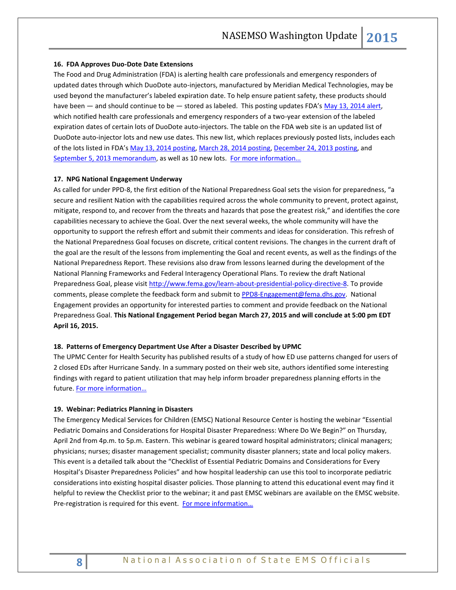#### **16. FDA Approves Duo-Dote Date Extensions**

The Food and Drug Administration (FDA) is alerting health care professionals and emergency responders of updated dates through which DuoDote auto-injectors, manufactured by Meridian Medical Technologies, may be used beyond the manufacturer's labeled expiration date. To help ensure patient safety, these products should have been — and should continue to be — stored as labeled. This posting updates FDA's [May 13, 2014 alert,](http://www.fda.gov/Drugs/DrugSafety/ucm376367.htm) which notified health care professionals and emergency responders of a two-year extension of the labeled expiration dates of certain lots of DuoDote auto-injectors. The table on the FDA web site is an updated list of DuoDote auto-injector lots and new use dates. This new list, which replaces previously posted lists, includes each of the lots listed in FDA's [May 13, 2014 posting,](http://www.fda.gov/Drugs/DrugSafety/ucm376367.htm) [March 28, 2014 posting,](http://www.fda.gov/Drugs/DrugSafety/ucm376367.htm#march2014) [December 24, 2013 posting,](http://www.fda.gov/Drugs/DrugSafety/ucm376367.htm#december2013) and [September 5, 2013 memorandum,](http://www.fda.gov/downloads/Drugs/DrugSafety/UCM376385.pdf) as well as 10 new lots. For more information...

## **17. NPG National Engagement Underway**

As called for under PPD-8, the first edition of the National Preparedness Goal sets the vision for preparedness, "a secure and resilient Nation with the capabilities required across the whole community to prevent, protect against, mitigate, respond to, and recover from the threats and hazards that pose the greatest risk," and identifies the core capabilities necessary to achieve the Goal. Over the next several weeks, the whole community will have the opportunity to support the refresh effort and submit their comments and ideas for consideration. This refresh of the National Preparedness Goal focuses on discrete, critical content revisions. The changes in the current draft of the goal are the result of the lessons from implementing the Goal and recent events, as well as the findings of the National Preparedness Report. These revisions also draw from lessons learned during the development of the National Planning Frameworks and Federal Interagency Operational Plans. To review the draft National Preparedness Goal, please visit [http://www.fema.gov/learn-about-presidential-policy-directive-8.](http://www.fema.gov/learn-about-presidential-policy-directive-8) To provide comments, please complete the feedback form and submit to [PPD8-Engagement@fema.dhs.gov.](mailto:PPD8-Engagement@fema.dhs.gov) National Engagement provides an opportunity for interested parties to comment and provide feedback on the National Preparedness Goal. **This National Engagement Period began March 27, 2015 and will conclude at 5:00 pm EDT April 16, 2015.**

#### **18. Patterns of Emergency Department Use After a Disaster Described by UPMC**

The UPMC Center for Health Security has published results of a study of how ED use patterns changed for users of 2 closed EDs after Hurricane Sandy. In a summary posted on their web site, authors identified some interesting findings with regard to patient utilization that may help inform broader preparedness planning efforts in the future. [For more information…](http://www.upmc-cbn.org/report_archive/2015/cbnreport_03202015.html)

# **19. Webinar: Pediatrics Planning in Disasters**

The Emergency Medical Services for Children (EMSC) National Resource Center is hosting the webinar "Essential Pediatric Domains and Considerations for Hospital Disaster Preparedness: Where Do We Begin?" on Thursday, April 2nd from 4p.m. to 5p.m. Eastern. This webinar is geared toward hospital administrators; clinical managers; physicians; nurses; disaster management specialist; community disaster planners; state and local policy makers. This event is a detailed talk about the "Checklist of Essential Pediatric Domains and Considerations for Every Hospital's Disaster Preparedness Policies" and how hospital leadership can use this tool to incorporate pediatric considerations into existing hospital disaster policies. Those planning to attend this educational event may find it helpful to review the Checklist prior to the webinar; it and past EMSC webinars are available on the EMSC website. Pre-registration is required for this event. For more information...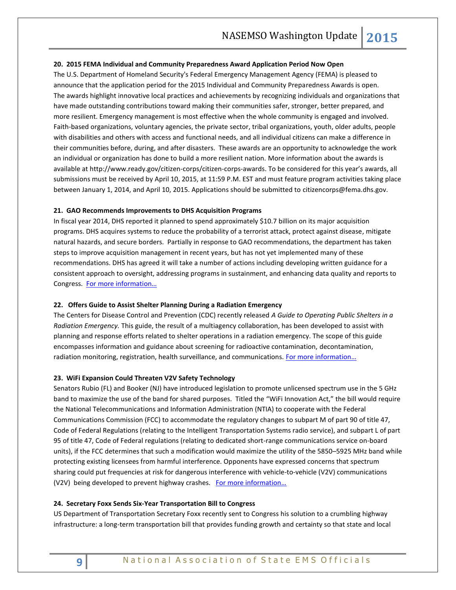### **20. 2015 FEMA Individual and Community Preparedness Award Application Period Now Open**

The U.S. Department of Homeland Security's Federal Emergency Management Agency (FEMA) is pleased to announce that the application period for the 2015 Individual and Community Preparedness Awards is open. The awards highlight innovative local practices and achievements by recognizing individuals and organizations that have made outstanding contributions toward making their communities safer, stronger, better prepared, and more resilient. Emergency management is most effective when the whole community is engaged and involved. Faith-based organizations, voluntary agencies, the private sector, tribal organizations, youth, older adults, people with disabilities and others with access and functional needs, and all individual citizens can make a difference in their communities before, during, and after disasters. These awards are an opportunity to acknowledge the work an individual or organization has done to build a more resilient nation. More information about the awards is available a[t http://www.ready.gov/citizen-corps/citizen-corps-awards](http://www.ready.gov/citizen-corps/citizen-corps-awards). To be considered for this year's awards, all submissions must be received by April 10, 2015, at 11:59 P.M. EST and must feature program activities taking place between January 1, 2014, and April 10, 2015. Applications should be submitted to [citizencorps@fema.dhs.gov.](mailto:citizencorps@fema.dhs.gov)

#### **21. GAO Recommends Improvements to DHS Acquisition Programs**

In fiscal year 2014, DHS reported it planned to spend approximately \$10.7 billion on its major acquisition programs. DHS acquires systems to reduce the probability of a terrorist attack, protect against disease, mitigate natural hazards, and secure borders. Partially in response to GAO recommendations, the department has taken steps to improve acquisition management in recent years, but has not yet implemented many of these recommendations. DHS has agreed it will take a number of actions including developing written guidance for a consistent approach to oversight, addressing programs in sustainment, and enhancing data quality and reports to Congress. For [more information…](http://www.gao.gov/assets/670/668975.pdf)

#### **22. Offers Guide to Assist Shelter Planning During a Radiation Emergency**

The Centers for Disease Control and Prevention (CDC) recently released *A Guide to Operating Public Shelters in a Radiation Emergency.* This guide, the result of a multiagency collaboration, has been developed to assist with planning and response efforts related to shelter operations in a radiation emergency. The scope of this guide encompasses information and guidance about screening for radioactive contamination, decontamination, radiation monitoring, registration, health surveillance, and communications. [For more information…](http://emergency.cdc.gov/radiation/pdf/operating-public-shelters.pdf)

# **23. WiFi Expansion Could Threaten V2V Safety Technology**

Senators Rubio (FL) and Booker (NJ) have introduced legislation to promote unlicensed spectrum use in the 5 GHz band to maximize the use of the band for shared purposes. Titled the "WiFi Innovation Act," the bill would require the National Telecommunications and Information Administration (NTIA) to cooperate with the Federal Communications Commission (FCC) to accommodate the regulatory changes to subpart M of part 90 of title 47, Code of Federal Regulations (relating to the Intelligent Transportation Systems radio service), and subpart L of part 95 of title 47, Code of Federal regulations (relating to dedicated short-range communications service on-board units), if the FCC determines that such a modification would maximize the utility of the 5850–5925 MHz band while protecting existing licensees from harmful interference. Opponents have expressed concerns that spectrum sharing could put frequencies at risk for dangerous interference with vehicle-to-vehicle (V2V) communications (V2V) being developed to prevent highway crashes. For more information...

#### **24. Secretary Foxx Sends Six-Year Transportation Bill to Congress**

US Department of Transportation Secretary Foxx recently sent to Congress his solution to a crumbling highway infrastructure: a long-term transportation bill that provides funding growth and certainty so that state and local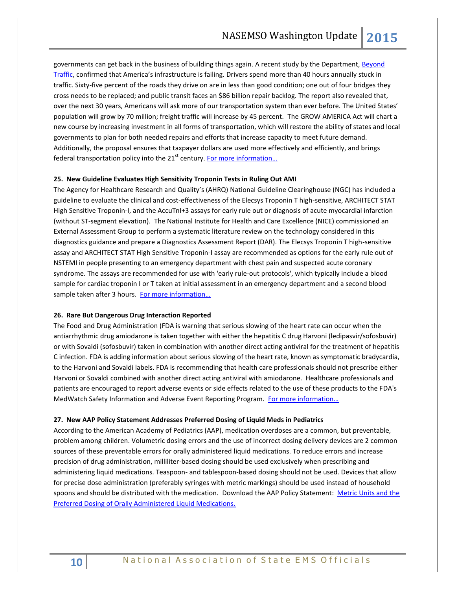governments can get back in the business of building things again. A recent study by the Department, Beyond [Traffic](http://www.dot.gov/beyondtraffic), confirmed that America's infrastructure is failing. Drivers spend more than 40 hours annually stuck in traffic. Sixty-five percent of the roads they drive on are in less than good condition; one out of four bridges they cross needs to be replaced; and public transit faces an \$86 billion repair backlog. The report also revealed that, over the next 30 years, Americans will ask more of our transportation system than ever before. The United States' population will grow by 70 million; freight traffic will increase by 45 percent. The GROW AMERICA Act will chart a new course by increasing investment in all forms of transportation, which will restore the ability of states and local governments to plan for both needed repairs and efforts that increase capacity to meet future demand. Additionally, the proposal ensures that taxpayer dollars are used more effectively and efficiently, and brings federal transportation policy into the  $21<sup>st</sup>$  century. For more information...

# **25. New Guideline Evaluates High Sensitivity Troponin Tests in Ruling Out AMI**

The Agency for Healthcare Research and Quality's (AHRQ) National Guideline Clearinghouse (NGC) has included a guideline to evaluate the clinical and cost-effectiveness of the Elecsys Troponin T high-sensitive, ARCHITECT STAT High Sensitive Troponin-I, and the AccuTnI+3 assays for early rule out or diagnosis of acute myocardial infarction (without ST-segment elevation). The National Institute for Health and Care Excellence (NICE) commissioned an External Assessment Group to perform a systematic literature review on the technology considered in this diagnostics guidance and prepare a Diagnostics Assessment Report (DAR). The Elecsys Troponin T high-sensitive assay and ARCHITECT STAT High Sensitive Troponin-I assay are recommended as options for the early rule out of NSTEMI in people presenting to an emergency department with chest pain and suspected acute coronary syndrome. The assays are recommended for use with 'early rule-out protocols', which typically include a blood sample for cardiac troponin I or T taken at initial assessment in an emergency department and a second blood sample taken after 3 hours. For more information...

#### **26. Rare But Dangerous Drug Interaction Reported**

The Food and Drug Administration (FDA is warning that serious slowing of the heart rate can occur when the antiarrhythmic drug amiodarone is taken together with either the hepatitis C drug Harvoni (ledipasvir/sofosbuvir) or with Sovaldi (sofosbuvir) taken in combination with another direct acting antiviral for the treatment of hepatitis C infection. FDA is adding information about serious slowing of the heart rate, known as symptomatic bradycardia, to the Harvoni and Sovaldi labels. FDA is recommending that health care professionals should not prescribe either Harvoni or Sovaldi combined with another direct acting antiviral with amiodarone. Healthcare professionals and patients are encouraged to report adverse events or side effects related to the use of these products to the FDA's MedWatch Safety Information and Adverse Event Reporting Program. For more information...

#### **27. New AAP Policy Statement Addresses Preferred Dosing of Liquid Meds in Pediatrics**

According to the American Academy of Pediatrics (AAP), medication overdoses are a common, but preventable, problem among children. Volumetric dosing errors and the use of incorrect dosing delivery devices are 2 common sources of these preventable errors for orally administered liquid medications. To reduce errors and increase precision of drug administration, milliliter-based dosing should be used exclusively when prescribing and administering liquid medications. Teaspoon- and tablespoon-based dosing should not be used. Devices that allow for precise dose administration (preferably syringes with metric markings) should be used instead of household spoons and should be distributed with the medication. Download the AAP Policy Statement: [Metric Units and the](http://pediatrics.aappublications.org/content/early/2015/03/25/peds.2015-0072.full.pdf+html)  [Preferred Dosing of Orally Administered Liquid Medications.](http://pediatrics.aappublications.org/content/early/2015/03/25/peds.2015-0072.full.pdf+html)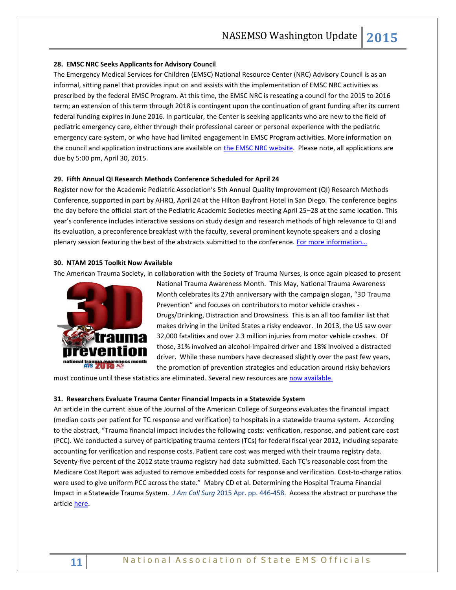# **28. EMSC NRC Seeks Applicants for Advisory Council**

The Emergency Medical Services for Children (EMSC) National Resource Center (NRC) Advisory Council is as an informal, sitting panel that provides input on and assists with the implementation of EMSC NRC activities as prescribed by the federal EMSC Program. At this time, the EMSC NRC is reseating a council for the 2015 to 2016 term; an extension of this term through 2018 is contingent upon the continuation of grant funding after its current federal funding expires in June 2016. In particular, the Center is seeking applicants who are new to the field of pediatric emergency care, either through their professional career or personal experience with the pediatric emergency care system, or who have had limited engagement in EMSC Program activities. More information on the council and application instructions are available on [the EMSC NRC website.](http://emscnrc.org/Get_Involved/Advisory_Council.aspx) Please note, all applications are due by 5:00 pm, April 30, 2015.

# **29. Fifth Annual QI Research Methods Conference Scheduled for April 24**

Register now for the Academic Pediatric Association's 5th Annual Quality Improvement (QI) Research Methods Conference, supported in part by AHRQ, April 24 at the Hilton Bayfront Hotel in San Diego. The conference begins the day before the official start of the Pediatric Academic Societies meeting April 25–28 at the same location. This year's conference includes interactive sessions on study design and research methods of high relevance to QI and its evaluation, a preconference breakfast with the faculty, several prominent keynote speakers and a closing plenary session featuring the best of the abstracts submitted to the conference. For more information...

# **30. NTAM 2015 Toolkit Now Available**

The American Trauma Society, in collaboration with the Society of Trauma Nurses, is once again pleased to present



National Trauma Awareness Month. This May, National Trauma Awareness Month celebrates its 27th anniversary with the campaign slogan, "3D Trauma Prevention" and focuses on contributors to motor vehicle crashes - Drugs/Drinking, Distraction and Drowsiness. This is an all too familiar list that makes driving in the United States a risky endeavor. In 2013, the US saw over 32,000 fatalities and over 2.3 million injuries from motor vehicle crashes. Of those, 31% involved an alcohol-impaired driver and 18% involved a distracted driver. While these numbers have decreased slightly over the past few years, the promotion of prevention strategies and education around risky behaviors

must continue until these statistics are eliminated. Several new resources ar[e now available.](http://www.amtrauma.org/?page=NTAM2015)

# **31. Researchers Evaluate Trauma Center Financial Impacts in a Statewide System**

An article in the current issue of the Journal of the American College of Surgeons evaluates the financial impact (median costs per patient for TC response and verification) to hospitals in a statewide trauma system. According to the abstract, "Trauma financial impact includes the following costs: verification, response, and patient care cost (PCC). We conducted a survey of participating trauma centers (TCs) for federal fiscal year 2012, including separate accounting for verification and response costs. Patient care cost was merged with their trauma registry data. Seventy-five percent of the 2012 state trauma registry had data submitted. Each TC's reasonable cost from the Medicare Cost Report was adjusted to remove embedded costs for response and verification. Cost-to-charge ratios were used to give uniform PCC across the state." Mabry CD et al. Determining the Hospital Trauma Financial Impact in a Statewide Trauma System. *J Am Coll Surg* 2015 Apr. pp. 446-458. Access the abstract or purchase the articl[e here.](http://www.journalacs.org/article/S1072-7515%2815%2900009-5/abstract)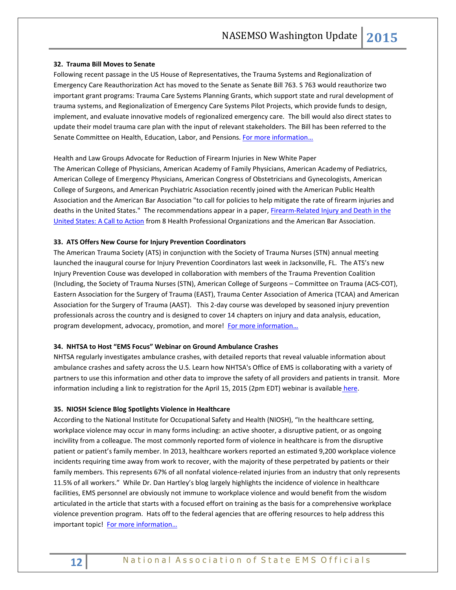# **32. Trauma Bill Moves to Senate**

Following recent passage in the US House of Representatives, the Trauma Systems and Regionalization of Emergency Care Reauthorization Act has moved to the Senate as Senate Bill 763. S 763 would reauthorize two important grant programs: Trauma Care Systems Planning Grants, which support state and rural development of trauma systems, and Regionalization of Emergency Care Systems Pilot Projects, which provide funds to design, implement, and evaluate innovative models of regionalized emergency care. The bill would also direct states to update their model trauma care plan with the input of relevant stakeholders. The Bill has been referred to the Senate Committee on Health, Education, Labor, and Pensions. For more information...

Health and Law Groups Advocate for Reduction of Firearm Injuries in New White Paper The American College of Physicians, American Academy of Family Physicians, American Academy of Pediatrics, American College of Emergency Physicians, American Congress of Obstetricians and Gynecologists, American College of Surgeons, and American Psychiatric Association recently joined with the American Public Health Association and the American Bar Association "to call for policies to help mitigate the rate of firearm injuries and deaths in the United States." The recommendations appear in a paper, [Firearm-Related Injury and Death in the](http://annals.org/article.aspx?articleid=2151828)  [United States: A Call to Action](http://annals.org/article.aspx?articleid=2151828) from 8 Health Professional Organizations and the American Bar Association.

# **33. ATS Offers New Course for Injury Prevention Coordinators**

The American Trauma Society (ATS) in conjunction with the Society of Trauma Nurses (STN) annual meeting launched the inaugural course for Injury Prevention Coordinators last week in Jacksonville, FL. The ATS's new Injury Prevention Couse was developed in collaboration with members of the Trauma Prevention Coalition (Including, the Society of Trauma Nurses (STN), American College of Surgeons – Committee on Trauma (ACS-COT), Eastern Association for the Surgery of Trauma (EAST), Trauma Center Association of America (TCAA) and American Association for the Surgery of Trauma (AAST). This 2-day course was developed by seasoned injury prevention professionals across the country and is designed to cover 14 chapters on injury and data analysis, education, program development, advocacy, promotion, and more! For more information...

#### **34. NHTSA to Host "EMS Focus" Webinar on Ground Ambulance Crashes**

NHTSA regularly investigates ambulance crashes, with detailed reports that reveal valuable information about ambulance crashes and safety across the U.S. Learn how NHTSA's Office of EMS is collaborating with a variety of partners to use this information and other data to improve the safety of all providers and patients in transit. More information including a link to registration for the April 15, 2015 (2pm EDT) webinar is available [here.](http://www.ems.gov/ems-focus.html)

#### **35. NIOSH Science Blog Spotlights Violence in Healthcare**

According to the National Institute for Occupational Safety and Health (NIOSH), "In the healthcare setting, workplace violence may occur in many forms including: an active shooter, a disruptive patient, or as ongoing incivility from a colleague. The most commonly reported form of violence in healthcare is from the disruptive patient or patient's family member. In 2013, healthcare workers reported an estimated 9,200 workplace violence incidents requiring time away from work to recover, with the majority of these perpetrated by patients or their family members. This represents 67% of all nonfatal violence-related injuries from an industry that only represents 11.5% of all workers." While Dr. Dan Hartley's blog largely highlights the incidence of violence in healthcare facilities, EMS personnel are obviously not immune to workplace violence and would benefit from the wisdom articulated in the article that starts with a focused effort on training as the basis for a comprehensive workplace violence prevention program. Hats off to the federal agencies that are offering resources to help address this important topic! For more information...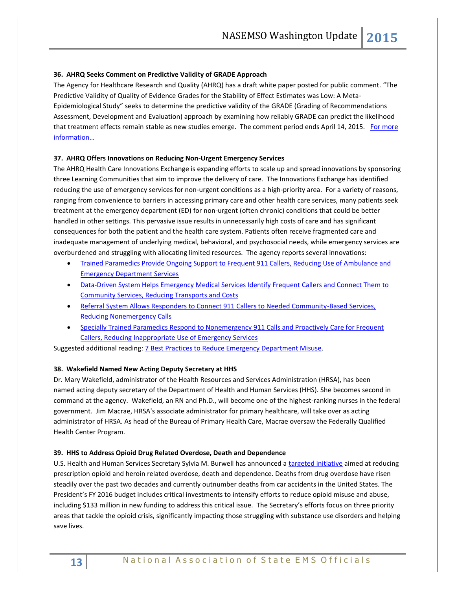# **36. AHRQ Seeks Comment on Predictive Validity of GRADE Approach**

The Agency for Healthcare Research and Quality (AHRQ) has a draft white paper posted for public comment. "The Predictive Validity of Quality of Evidence Grades for the Stability of Effect Estimates was Low: A Meta-Epidemiological Study" seeks to determine the predictive validity of the GRADE (Grading of Recommendations Assessment, Development and Evaluation) approach by examining how reliably GRADE can predict the likelihood that treatment effects remain stable as new studies emerge. The comment period ends April 14, 2015. For more [information…](http://www.effectivehealthcare.ahrq.gov/search-for-guides-reviews-and-reports/?pageaction=displayProduct&productID=2055)

# **37. AHRQ Offers Innovations on Reducing Non-Urgent Emergency Services**

The AHRQ Health Care Innovations Exchange is expanding efforts to scale up and spread innovations by sponsoring three Learning Communities that aim to improve the delivery of care. The Innovations Exchange has identified reducing the use of emergency services for non-urgent conditions as a high-priority area. For a variety of reasons, ranging from convenience to barriers in accessing primary care and other health care services, many patients seek treatment at the emergency department (ED) for non-urgent (often chronic) conditions that could be better handled in other settings. This pervasive issue results in unnecessarily high costs of care and has significant consequences for both the patient and the health care system. Patients often receive fragmented care and inadequate management of underlying medical, behavioral, and psychosocial needs, while emergency services are overburdened and struggling with allocating limited resources. The agency reports several innovations:

- [Trained Paramedics Provide Ongoing Support to Frequent 911 Callers, Reducing Use of Ambulance and](https://innovations.ahrq.gov/profiles/trained-paramedics-provide-ongoing-support-frequent-911-callers-reducing-use-ambulance-and)  [Emergency Department Services](https://innovations.ahrq.gov/profiles/trained-paramedics-provide-ongoing-support-frequent-911-callers-reducing-use-ambulance-and)
- [Data-Driven System Helps Emergency Medical Services Identify Frequent Callers and Connect Them to](https://innovations.ahrq.gov/profiles/data-driven-system-helps-emergency-medical-services-identify-frequent-callers-and-connect)  [Community Services, Reducing Transports and Costs](https://innovations.ahrq.gov/profiles/data-driven-system-helps-emergency-medical-services-identify-frequent-callers-and-connect)
- [Referral System Allows Responders to Connect 911 Callers to Needed Community-Based Services,](https://innovations.ahrq.gov/profiles/referral-system-allows-responders-connect-911-callers-needed-community-based-services)  [Reducing Nonemergency Calls](https://innovations.ahrq.gov/profiles/referral-system-allows-responders-connect-911-callers-needed-community-based-services)
- **Specially Trained Paramedics Respond to Nonemergency 911 Calls and Proactively Care for Frequent** [Callers, Reducing Inappropriate Use of Emergency Services](https://innovations.ahrq.gov/profiles/specially-trained-paramedics-respond-nonemergency-911-calls-and-proactively-care-frequent)

Suggested additional reading: [7 Best Practices to Reduce Emergency Department Misuse.](http://www.acepnow.com/article/7-best-practices-reduce-emergency-department-misuse/)

# **38. Wakefield Named New Acting Deputy Secretary at HHS**

Dr. Mary Wakefield, administrator of the Health Resources and Services Administration (HRSA), has been named acting deputy secretary of the Department of Health and Human Services (HHS). She becomes second in command at the agency. Wakefield, an RN and Ph.D., will become one of the highest-ranking nurses in the federal government. Jim Macrae, HRSA's associate administrator for primary healthcare, will take over as acting administrator of HRSA. As head of the Bureau of Primary Health Care, Macrae oversaw the Federally Qualified Health Center Program.

# **39. HHS to Address Opioid Drug Related Overdose, Death and Dependence**

U.S. Health and Human Services Secretary Sylvia M. Burwell has announced [a targeted initiative](http://aspe.hhs.gov/sp/reports/2015/OpioidInitiative/ib_OpioidInitiative.cfm) aimed at reducing prescription opioid and heroin related overdose, death and dependence. Deaths from drug overdose have risen steadily over the past two decades and currently outnumber deaths from car accidents in the United States. The President's FY 2016 budget includes critical investments to intensify efforts to reduce opioid misuse and abuse, including \$133 million in new funding to address this critical issue. The Secretary's efforts focus on three priority areas that tackle the opioid crisis, significantly impacting those struggling with substance use disorders and helping save lives.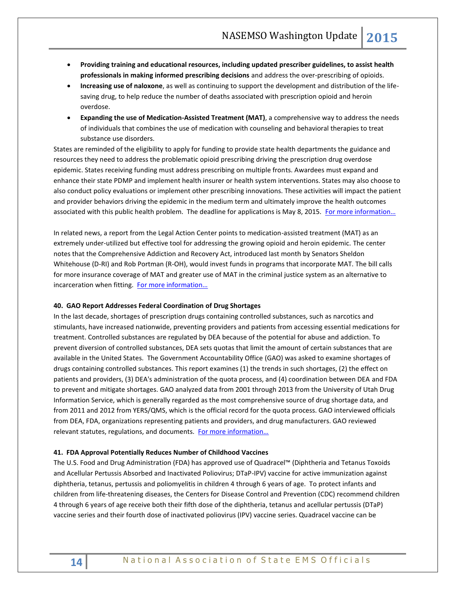- **Providing training and educational resources, including updated prescriber guidelines, to assist health professionals in making informed prescribing decisions** and address the over-prescribing of opioids.
- **Increasing use of naloxone**, as well as continuing to support the development and distribution of the lifesaving drug, to help reduce the number of deaths associated with prescription opioid and heroin overdose.
- **Expanding the use of Medication-Assisted Treatment (MAT)**, a comprehensive way to address the needs of individuals that combines the use of medication with counseling and behavioral therapies to treat substance use disorders.

States are reminded of the eligibility to apply for funding to provide state health departments the guidance and resources they need to address the problematic opioid prescribing driving the prescription drug overdose epidemic. States receiving funding must address prescribing on multiple fronts. Awardees must expand and enhance their state PDMP and implement health insurer or health system interventions. States may also choose to also conduct policy evaluations or implement other prescribing innovations. These activities will impact the patient and provider behaviors driving the epidemic in the medium term and ultimately improve the health outcomes associated with this public health problem. The deadline for applications is May 8, 2015. For more information...

In related news, a report from the Legal Action Center points to medication-assisted treatment (MAT) as an extremely under-utilized but effective tool for addressing the growing opioid and heroin epidemic. The center notes that the Comprehensive Addiction and Recovery Act, introduced last month by Senators Sheldon Whitehouse (D-RI) and Rob Portman (R-OH), would invest funds in programs that incorporate MAT. The bill calls for more insurance coverage of MAT and greater use of MAT in the criminal justice system as an alternative to incarceration when fitting. [For more informatio](http://lac.org/wp-content/uploads/2014/07/LAC-The-Case-for-Eliminating-Barriers-to-Medication-Assisted-Treatment.pdf)n…

# **40. GAO Report Addresses Federal Coordination of Drug Shortages**

In the last decade, shortages of prescription drugs containing controlled substances, such as narcotics and stimulants, have increased nationwide, preventing providers and patients from accessing essential medications for treatment. Controlled substances are regulated by DEA because of the potential for abuse and addiction. To prevent diversion of controlled substances, DEA sets quotas that limit the amount of certain substances that are available in the United States. The Government Accountability Office (GAO) was asked to examine shortages of drugs containing controlled substances. This report examines (1) the trends in such shortages, (2) the effect on patients and providers, (3) DEA's administration of the quota process, and (4) coordination between DEA and FDA to prevent and mitigate shortages. GAO analyzed data from 2001 through 2013 from the University of Utah Drug Information Service, which is generally regarded as the most comprehensive source of drug shortage data, and from 2011 and 2012 from YERS/QMS, which is the official record for the quota process. GAO interviewed officials from DEA, FDA, organizations representing patients and providers, and drug manufacturers. GAO reviewed relevant statutes, regulations, and documents. For more information...

# **41. FDA Approval Potentially Reduces Number of Childhood Vaccines**

The U.S. Food and Drug Administration (FDA) has approved use of Quadracel™ (Diphtheria and Tetanus Toxoids and Acellular Pertussis Absorbed and Inactivated Poliovirus; DTaP-IPV) vaccine for active immunization against diphtheria, tetanus, pertussis and poliomyelitis in children 4 through 6 years of age. To protect infants and children from life-threatening diseases, the Centers for Disease Control and Prevention (CDC) recommend children 4 through 6 years of age receive both their fifth dose of the diphtheria, tetanus and acellular pertussis (DTaP) vaccine series and their fourth dose of inactivated poliovirus (IPV) vaccine series. Quadracel vaccine can be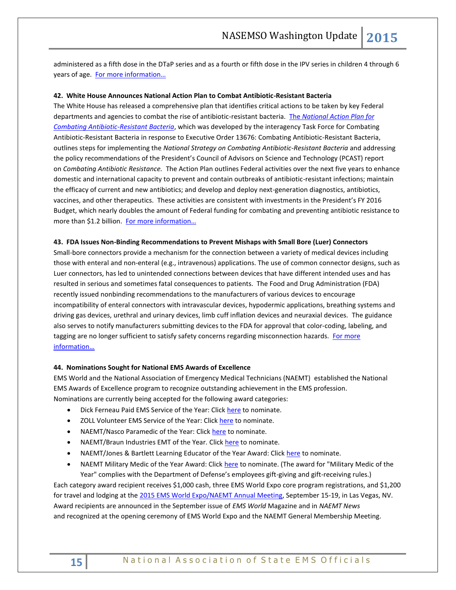administered as a fifth dose in the DTaP series and as a fourth or fifth dose in the IPV series in children 4 through 6 years of age. [For more information…](http://www.marketwatch.com/story/sanofi-pasteur-announces-fda-approval-of-quadracel-dtap-ipv-vaccine-for-children-4-through-6-years-of-age-2015-03-25)

# **42. White House Announces National Action Plan to Combat Antibiotic-Resistant Bacteria**

The White House has released a comprehensive plan that identifies critical actions to be taken by key Federal departments and agencies to combat the rise of antibiotic-resistant bacteria. The *[National Action Plan for](http://www.whitehouse.gov/sites/default/files/docs/national_action_plan_for_combating_antibotic-resistant_bacteria.pdf)  [Combating Antibiotic-Resistant Bacteria](http://www.whitehouse.gov/sites/default/files/docs/national_action_plan_for_combating_antibotic-resistant_bacteria.pdf)*, which was developed by the interagency Task Force for Combating Antibiotic-Resistant Bacteria in response to Executive Order 13676: Combating Antibiotic-Resistant Bacteria, outlines steps for implementing the *National Strategy on Combating Antibiotic-Resistant Bacteria* and addressing the policy recommendations of the President's Council of Advisors on Science and Technology (PCAST) report on *Combating Antibiotic Resistance.* The Action Plan outlines Federal activities over the next five years to enhance domestic and international capacity to prevent and contain outbreaks of antibiotic-resistant infections; maintain the efficacy of current and new antibiotics; and develop and deploy next-generation diagnostics, antibiotics, vaccines, and other therapeutics. These activities are consistent with investments in the President's FY 2016 Budget, which nearly doubles the amount of Federal funding for combating and preventing antibiotic resistance to more than \$1.2 billion. For more information...

#### **43. FDA Issues Non-Binding Recommendations to Prevent Mishaps with Small Bore (Luer) Connectors**

Small-bore connectors provide a mechanism for the connection between a variety of medical devices including those with enteral and non-enteral (e.g., intravenous) applications. The use of common connector designs, such as Luer connectors, has led to unintended connections between devices that have different intended uses and has resulted in serious and sometimes fatal consequences to patients. The Food and Drug Administration (FDA) recently issued nonbinding recommendations to the manufacturers of various devices to encourage incompatibility of enteral connectors with intravascular devices, hypodermic applications, breathing systems and driving gas devices, urethral and urinary devices, limb cuff inflation devices and neuraxial devices. The guidance also serves to notify manufacturers submitting devices to the FDA for approval that color-coding, labeling, and tagging are no longer sufficient to satisfy safety concerns regarding misconnection hazards. For more [information…](http://www.fda.gov/downloads/MedicalDevices/DeviceRegulationandGuidance/GuidanceDocuments/UCM313385.pdf)

#### **44. Nominations Sought for National EMS Awards of Excellence**

EMS World and the National Association of Emergency Medical Technicians (NAEMT) established the National EMS Awards of Excellence program to recognize outstanding achievement in the EMS profession. Nominations are currently being accepted for the following award categories:

- Dick Ferneau Paid EMS Service of the Year: Click [here](https://ems2015awards.questionpro.com/) to nominate.
- ZOLL Volunteer EMS Service of the Year: Click [here](https://ems2015awards.questionpro.com/) to nominate.
- NAEMT/Nasco Paramedic of the Year: Click [here](http://www.naemt.org/about_us/national_awards/EMTofYear.aspx) to nominate.
- NAEMT/Braun Industries EMT of the Year. Click [here](http://www.naemt.org/about_us/national_awards/EMTofYear.aspx) to nominate.
- NAEMT/Jones & Bartlett Learning Educator of the Year Award: Click [here](http://www.naemt.org/about_us/national_awards/EducatoroftheYear.aspx) to nominate.
- NAEMT Military Medic of the Year Award: Click [here](http://www.naemt.org/about_us/national_awards/military-medic-of-the-year) to nominate. (The award for "Military Medic of the Year" complies with the Department of Defense's employees gift-giving and gift-receiving rules.)

Each category award recipient receives \$1,000 cash, three EMS World Expo core program registrations, and \$1,200 for travel and lodging at th[e 2015 EMS World Expo/NAEMT](http://www.emsworld.com/EMSWorldExpo.com) Annual Meeting, September 15-19, in Las Vegas, NV. Award recipients are announced in the September issue of *EMS World* Magazine and in *NAEMT News* and recognized at the opening ceremony of EMS World Expo and the NAEMT General Membership Meeting.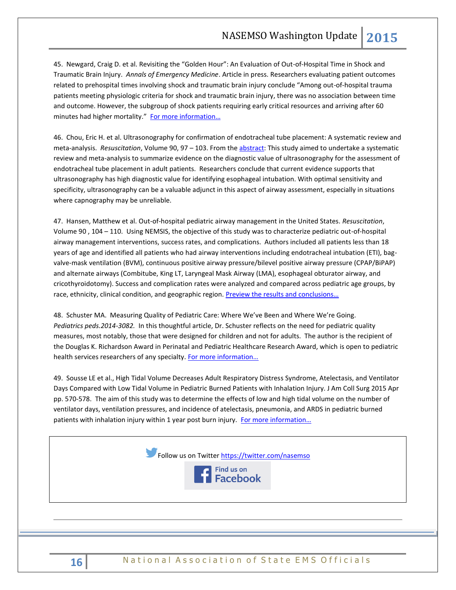45. Newgard, Craig D. et al. Revisiting the "Golden Hour": An Evaluation of Out-of-Hospital Time in Shock and Traumatic Brain Injury. *Annals of Emergency Medicine*. Article in press. Researchers evaluating patient outcomes related to prehospital times involving shock and traumatic brain injury conclude "Among out-of-hospital trauma patients meeting physiologic criteria for shock and traumatic brain injury, there was no association between time and outcome. However, the subgroup of shock patients requiring early critical resources and arriving after 60 minutes had higher mortality." For more information...

46. Chou, Eric H. et al. Ultrasonography for confirmation of endotracheal tube placement: A systematic review and meta-analysis. *Resuscitation*, Volume 90, 97 – 103. From th[e abstract:](http://www.resuscitationjournal.com/article/S0300-9572%2815%2900080-5/abstract) This study aimed to undertake a systematic review and meta-analysis to summarize evidence on the diagnostic value of ultrasonography for the assessment of endotracheal tube placement in adult patients. Researchers conclude that current evidence supports that ultrasonography has high diagnostic value for identifying esophageal intubation. With optimal sensitivity and specificity, ultrasonography can be a valuable adjunct in this aspect of airway assessment, especially in situations where capnography may be unreliable.

47. Hansen, Matthew et al. Out-of-hospital pediatric airway management in the United States. *Resuscitation*, Volume 90 , 104 – 110. Using NEMSIS, the objective of this study was to characterize pediatric out-of-hospital airway management interventions, success rates, and complications. Authors included all patients less than 18 years of age and identified all patients who had airway interventions including endotracheal intubation (ETI), bagvalve-mask ventilation (BVM), continuous positive airway pressure/bilevel positive airway pressure (CPAP/BiPAP) and alternate airways (Combitube, King LT, Laryngeal Mask Airway (LMA), esophageal obturator airway, and cricothyroidotomy). Success and complication rates were analyzed and compared across pediatric age groups, by race, ethnicity, clinical condition, and geographic region. Preview the results and conclusions...

48. Schuster MA. Measuring Quality of Pediatric Care: Where We've Been and Where We're Going. *Pediatrics peds.2014-3082.* In this thoughtful article, Dr. Schuster reflects on the need for pediatric quality measures, most notably, those that were designed for children and not for adults. The author is the recipient of the Douglas K. Richardson Award in Perinatal and Pediatric Healthcare Research Award, which is open to pediatric health services researchers of any specialty. [For more information…](http://pediatrics.aappublications.org/content/early/2015/03/11/peds.2014-3082.full.pdf+html)

49. Sousse LE et al., High Tidal Volume Decreases Adult Respiratory Distress Syndrome, Atelectasis, and Ventilator Days Compared with Low Tidal Volume in Pediatric Burned Patients with Inhalation Injury. J Am Coll Surg 2015 Apr pp. 570-578. The aim of this study was to determine the effects of low and high tidal volume on the number of ventilator days, ventilation pressures, and incidence of atelectasis, pneumonia, and ARDS in pediatric burned patients with inhalation injury within 1 year post burn injury. For more information...



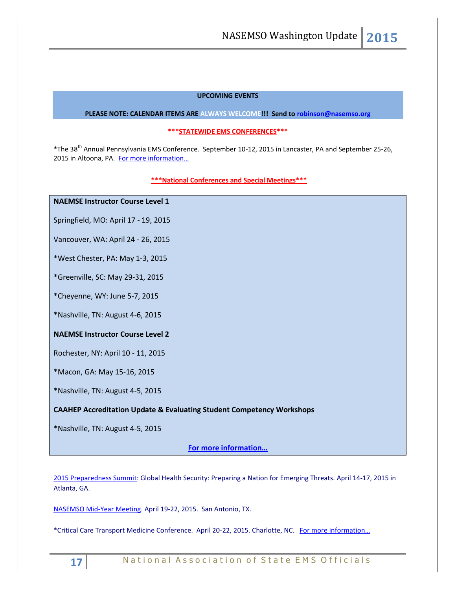# **UPCOMING EVENTS**

### **PLEASE NOTE: CALENDAR ITEMS ARE ALWAYS WELCOME!!! Send t[o robinson@nasemso.org](mailto:robinson@nasemso.org)**

# **\*\*\*STATEWIDE EMS CONFERENCES\*\*\***

\*The 38th Annual Pennsylvania EMS Conference. September 10-12, 2015 in Lancaster, PA and September 25-26, 2015 in Altoona, PA. For more information...

# **\*\*\*National Conferences and Special Meetings\*\*\***

# **NAEMSE Instructor Course Level 1**

Springfield, MO: April 17 - 19, 2015

Vancouver, WA: April 24 - 26, 2015

\*West Chester, PA: May 1-3, 2015

\*Greenville, SC: May 29-31, 2015

\*Cheyenne, WY: June 5-7, 2015

\*Nashville, TN: August 4-6, 2015

# **NAEMSE Instructor Course Level 2**

Rochester, NY: April 10 - 11, 2015

\*Macon, GA: May 15-16, 2015

\*Nashville, TN: August 4-5, 2015

# **CAAHEP Accreditation Update & Evaluating Student Competency Workshops**

\*Nashville, TN: August 4-5, 2015

**[For more information…](http://www.naemse.org/instructor-course/)**

[2015 Preparedness Summit:](http://r20.rs6.net/tn.jsp?f=001wzKW8mjjcnbesjq6-qmpJD19e-gq3Y5FOwmLWLTgNIHh6hCIiHqstFFMbeOwVwTNMuZX6CwfLJh1ec6r8FGt5MkZtgydlbkKvPVeaYNjBpYWW2JzpyHfusQltfbi8UCgcLGFDwwq0YW95dfGYVfynmKNiyRfz-lS_xckL2nnntfDjkKRdOYxfA==&c=K-4O5t1NK0pvyYYLP6KIFRGJQfUv3C2HcUe9uWpDHDHXSHf7SX---w==&ch=Yx938ZHswsHC8i2jMpUmQmj_h7fbCpC2dtXJjMCXJYGpD2EZ9Y-O6g==) Global Health Security: Preparing a Nation for Emerging Threats. April 14-17, 2015 in Atlanta, GA.

[NASEMSO Mid-Year Meeting.](http://www.nasemso.org/Meetings/MidYear/index.asp) April 19-22, 2015. San Antonio, TX.

\*Critical Care Transport Medicine Conference. April 20-22, 2015. Charlotte, NC. [For more information…](https://ampa.org/cctmc_2015)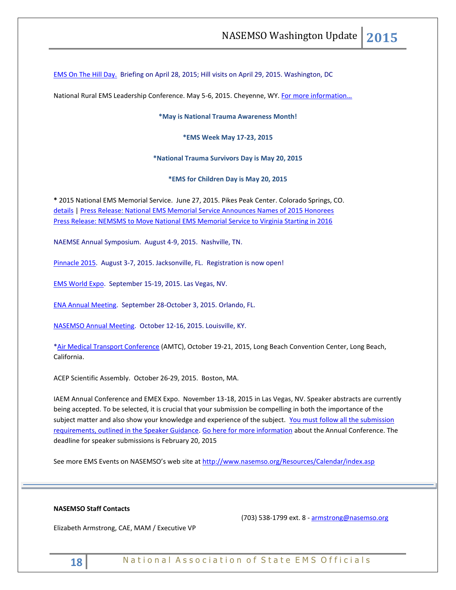[EMS On The Hill Day.](http://www.naemt.org/advocacy/emsonthehillday.aspx) Briefing on April 28, 2015; Hill visits on April 29, 2015. Washington, DC

National Rural EMS Leadership Conference. May 5-6, 2015. Cheyenne, WY. For more information...

**\*May is National Trauma Awareness Month!**

**\*EMS Week May 17-23, 2015**

**\*National Trauma Survivors Day is May 20, 2015**

**\*EMS for Children Day is May 20, 2015**

**\*** 2015 National EMS Memorial Service. June 27, 2015. Pikes Peak Center. Colorado Springs, CO. [details](http://www.nemsms.org/) | [Press Release: National EMS Memorial Service Announces Names of 2015 Honorees](http://www.nasemso.org/Resources/Calendar/documents/NEMSMS-Announces-2015-Honorees.pdf) [Press Release: NEMSMS to Move National EMS Memorial Service to Virginia Starting in 2016](http://www.nasemso.org/Resources/Calendar/documents/NEMSMS-Press-Release-Transition-Announcement.pdf)

NAEMSE Annual Symposium. August 4-9, 2015. Nashville, TN.

[Pinnacle 2015.](http://pinnacle-ems.com/program/) August 3-7, 2015. Jacksonville, FL. Registration is now open!

[EMS World Expo.](http://emsworldexpo.com/) September 15-19, 2015. Las Vegas, NV.

[ENA Annual Meeting.](http://www.ena.org/education/conferences/2015/Pages/default.aspx) September 28-October 3, 2015. Orlando, FL.

[NASEMSO Annual Meeting.](http://www.nasemso.org/Meetings/Annual/AnnualMeeting2015.asp) October 12-16, 2015. Louisville, KY.

[\\*Air Medical Transport Conference](http://aams.org/events/2015-air-medical-transport-conference/) (AMTC), October 19-21, 2015, Long Beach Convention Center, Long Beach, California.

ACEP Scientific Assembly. October 26-29, 2015. Boston, MA.

IAEM Annual Conference and EMEX Expo. November 13-18, 2015 in Las Vegas, NV. Speaker abstracts are currently being accepted. To be selected, it is crucial that your submission be compelling in both the importance of the subject matter and also show your knowledge and experience of the subject. You must follow all the submission [requirements, outlined in the Speaker Guidance.](http://cts.vresp.com/c/?IAEM/46d16c294a/3733acafb6/1496faeb53) [Go here for more information](http://cts.vresp.com/c/?IAEM/46d16c294a/3733acafb6/9897cf8fb8/p=events/annual-conference) about the Annual Conference. The deadline for speaker submissions is February 20, 2015

See more EMS Events on NASEMSO's web site at<http://www.nasemso.org/Resources/Calendar/index.asp>

# **NASEMSO Staff Contacts**

(703) 538-1799 ext. 8 - [armstrong@nasemso.org](mailto:armstrong@nasemso.org)

Elizabeth Armstrong, CAE, MAM / Executive VP